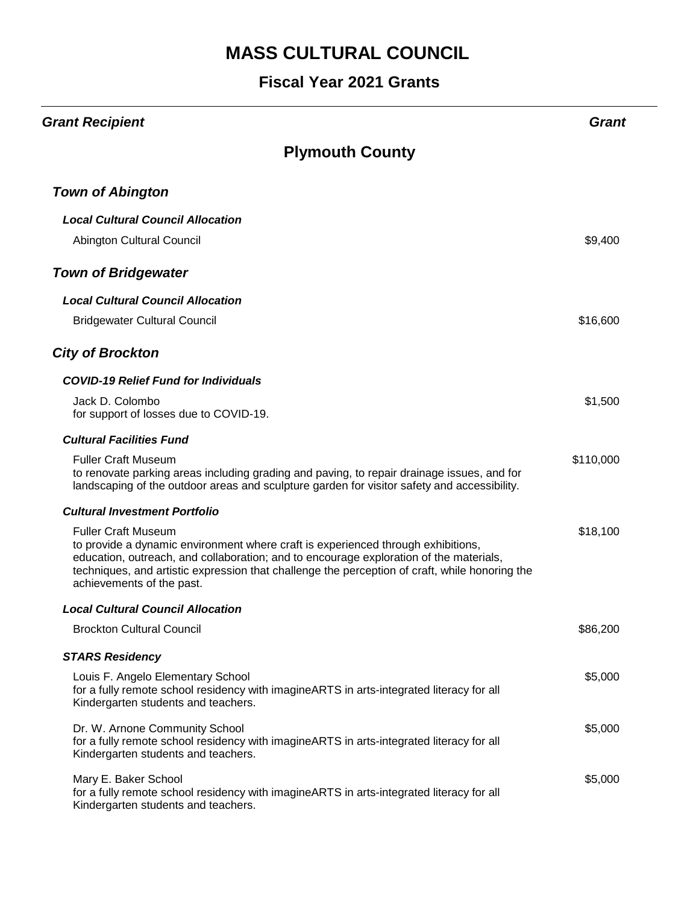| <b>Grant Recipient</b>                                                                                                                                                                                                                                                                                                                  | Grani     |
|-----------------------------------------------------------------------------------------------------------------------------------------------------------------------------------------------------------------------------------------------------------------------------------------------------------------------------------------|-----------|
| <b>Plymouth County</b>                                                                                                                                                                                                                                                                                                                  |           |
| <b>Town of Abington</b>                                                                                                                                                                                                                                                                                                                 |           |
| <b>Local Cultural Council Allocation</b>                                                                                                                                                                                                                                                                                                |           |
| Abington Cultural Council                                                                                                                                                                                                                                                                                                               | \$9,400   |
| <b>Town of Bridgewater</b>                                                                                                                                                                                                                                                                                                              |           |
| <b>Local Cultural Council Allocation</b>                                                                                                                                                                                                                                                                                                |           |
| <b>Bridgewater Cultural Council</b>                                                                                                                                                                                                                                                                                                     | \$16,600  |
| <b>City of Brockton</b>                                                                                                                                                                                                                                                                                                                 |           |
| <b>COVID-19 Relief Fund for Individuals</b>                                                                                                                                                                                                                                                                                             |           |
| Jack D. Colombo<br>for support of losses due to COVID-19.                                                                                                                                                                                                                                                                               | \$1,500   |
| <b>Cultural Facilities Fund</b>                                                                                                                                                                                                                                                                                                         |           |
| <b>Fuller Craft Museum</b><br>to renovate parking areas including grading and paving, to repair drainage issues, and for<br>landscaping of the outdoor areas and sculpture garden for visitor safety and accessibility.                                                                                                                 | \$110,000 |
| <b>Cultural Investment Portfolio</b>                                                                                                                                                                                                                                                                                                    |           |
| <b>Fuller Craft Museum</b><br>to provide a dynamic environment where craft is experienced through exhibitions,<br>education, outreach, and collaboration; and to encourage exploration of the materials,<br>techniques, and artistic expression that challenge the perception of craft, while honoring the<br>achievements of the past. | \$18,100  |
| <b>Local Cultural Council Allocation</b>                                                                                                                                                                                                                                                                                                |           |
| <b>Brockton Cultural Council</b>                                                                                                                                                                                                                                                                                                        | \$86,200  |
| <b>STARS Residency</b>                                                                                                                                                                                                                                                                                                                  |           |
| Louis F. Angelo Elementary School<br>for a fully remote school residency with imagine ARTS in arts-integrated literacy for all<br>Kindergarten students and teachers.                                                                                                                                                                   | \$5,000   |
| Dr. W. Arnone Community School<br>for a fully remote school residency with imagineARTS in arts-integrated literacy for all<br>Kindergarten students and teachers.                                                                                                                                                                       | \$5,000   |
| Mary E. Baker School<br>for a fully remote school residency with imagineARTS in arts-integrated literacy for all<br>Kindergarten students and teachers.                                                                                                                                                                                 | \$5,000   |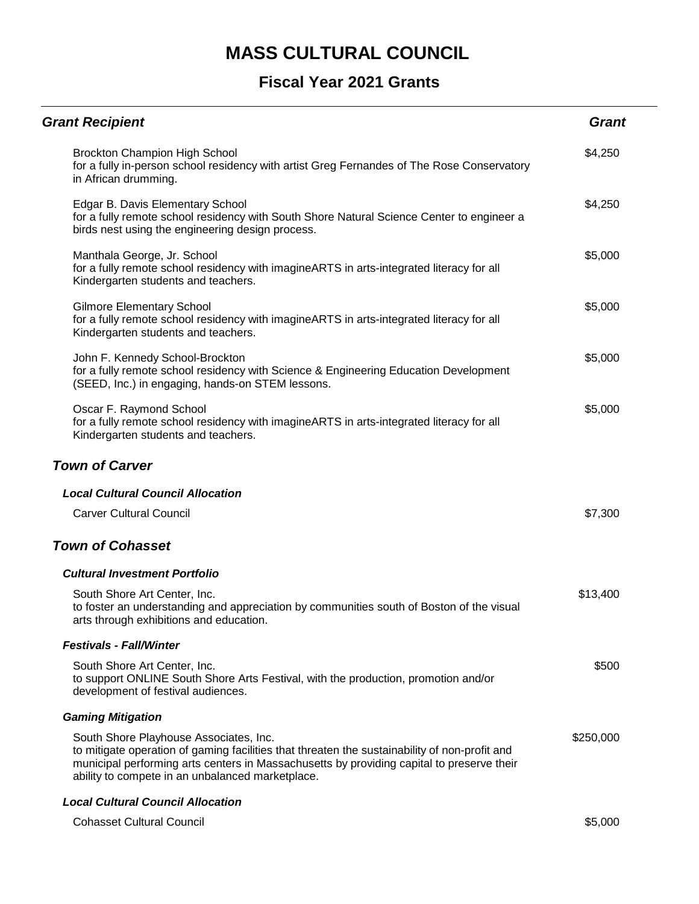| <b>Grant Recipient</b>                                                                                                                                                                                                                                                                   | <b>Grant</b> |
|------------------------------------------------------------------------------------------------------------------------------------------------------------------------------------------------------------------------------------------------------------------------------------------|--------------|
| Brockton Champion High School<br>for a fully in-person school residency with artist Greg Fernandes of The Rose Conservatory<br>in African drumming.                                                                                                                                      | \$4,250      |
| Edgar B. Davis Elementary School<br>for a fully remote school residency with South Shore Natural Science Center to engineer a<br>birds nest using the engineering design process.                                                                                                        | \$4,250      |
| Manthala George, Jr. School<br>for a fully remote school residency with imagine ARTS in arts-integrated literacy for all<br>Kindergarten students and teachers.                                                                                                                          | \$5,000      |
| <b>Gilmore Elementary School</b><br>for a fully remote school residency with imagine ARTS in arts-integrated literacy for all<br>Kindergarten students and teachers.                                                                                                                     | \$5,000      |
| John F. Kennedy School-Brockton<br>for a fully remote school residency with Science & Engineering Education Development<br>(SEED, Inc.) in engaging, hands-on STEM lessons.                                                                                                              | \$5,000      |
| Oscar F. Raymond School<br>for a fully remote school residency with imagine ARTS in arts-integrated literacy for all<br>Kindergarten students and teachers.                                                                                                                              | \$5,000      |
| <b>Town of Carver</b>                                                                                                                                                                                                                                                                    |              |
| <b>Local Cultural Council Allocation</b>                                                                                                                                                                                                                                                 |              |
| <b>Carver Cultural Council</b>                                                                                                                                                                                                                                                           | \$7,300      |
| <b>Town of Cohasset</b>                                                                                                                                                                                                                                                                  |              |
| <b>Cultural Investment Portfolio</b>                                                                                                                                                                                                                                                     |              |
| South Shore Art Center, Inc.<br>to foster an understanding and appreciation by communities south of Boston of the visual<br>arts through exhibitions and education.                                                                                                                      | \$13,400     |
| <b>Festivals - Fall/Winter</b>                                                                                                                                                                                                                                                           |              |
| South Shore Art Center, Inc.<br>to support ONLINE South Shore Arts Festival, with the production, promotion and/or<br>development of festival audiences.                                                                                                                                 | \$500        |
| <b>Gaming Mitigation</b>                                                                                                                                                                                                                                                                 |              |
| South Shore Playhouse Associates, Inc.<br>to mitigate operation of gaming facilities that threaten the sustainability of non-profit and<br>municipal performing arts centers in Massachusetts by providing capital to preserve their<br>ability to compete in an unbalanced marketplace. | \$250,000    |
| <b>Local Cultural Council Allocation</b>                                                                                                                                                                                                                                                 |              |
| <b>Cohasset Cultural Council</b>                                                                                                                                                                                                                                                         | \$5,000      |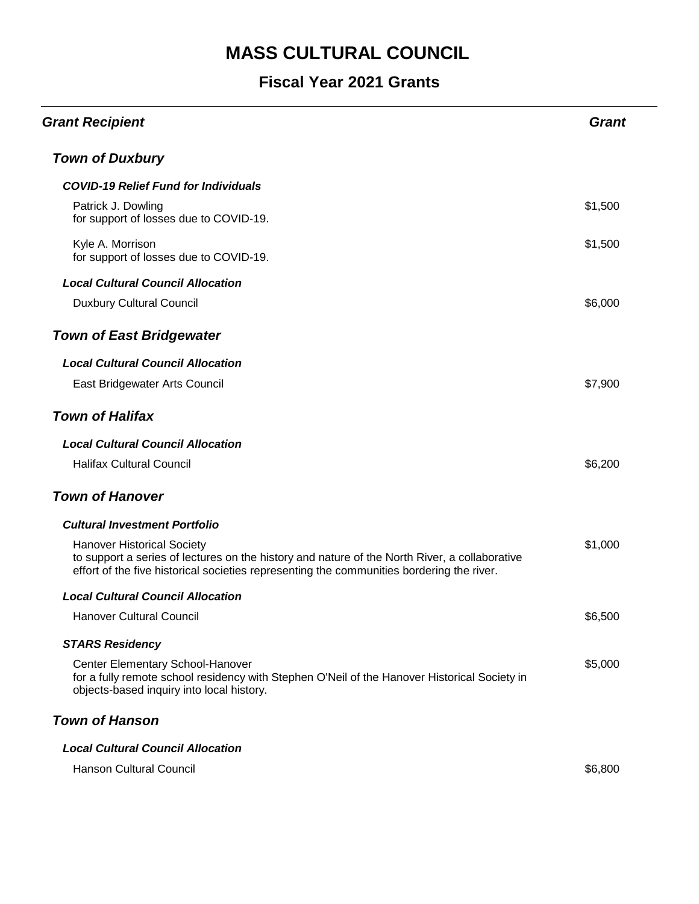### **Fiscal Year 2021 Grants**

| <b>Grant Recipient</b>                                                                                                                                                                                                          | <b>Grant</b> |
|---------------------------------------------------------------------------------------------------------------------------------------------------------------------------------------------------------------------------------|--------------|
| <b>Town of Duxbury</b>                                                                                                                                                                                                          |              |
| <b>COVID-19 Relief Fund for Individuals</b>                                                                                                                                                                                     |              |
| Patrick J. Dowling<br>for support of losses due to COVID-19.                                                                                                                                                                    | \$1,500      |
| Kyle A. Morrison<br>for support of losses due to COVID-19.                                                                                                                                                                      | \$1,500      |
| <b>Local Cultural Council Allocation</b>                                                                                                                                                                                        |              |
| <b>Duxbury Cultural Council</b>                                                                                                                                                                                                 | \$6,000      |
| <b>Town of East Bridgewater</b>                                                                                                                                                                                                 |              |
| <b>Local Cultural Council Allocation</b>                                                                                                                                                                                        |              |
| East Bridgewater Arts Council                                                                                                                                                                                                   | \$7,900      |
| <b>Town of Halifax</b>                                                                                                                                                                                                          |              |
| <b>Local Cultural Council Allocation</b>                                                                                                                                                                                        |              |
| <b>Halifax Cultural Council</b>                                                                                                                                                                                                 | \$6,200      |
| <b>Town of Hanover</b>                                                                                                                                                                                                          |              |
| <b>Cultural Investment Portfolio</b>                                                                                                                                                                                            |              |
| <b>Hanover Historical Society</b><br>to support a series of lectures on the history and nature of the North River, a collaborative<br>effort of the five historical societies representing the communities bordering the river. | \$1,000      |
| <b>Local Cultural Council Allocation</b>                                                                                                                                                                                        |              |
| <b>Hanover Cultural Council</b>                                                                                                                                                                                                 | \$6,500      |
| <b>STARS Residency</b>                                                                                                                                                                                                          |              |
| Center Elementary School-Hanover<br>for a fully remote school residency with Stephen O'Neil of the Hanover Historical Society in<br>objects-based inquiry into local history.                                                   | \$5,000      |
| <b>Town of Hanson</b>                                                                                                                                                                                                           |              |
| <b>Local Cultural Council Allocation</b>                                                                                                                                                                                        |              |

Hanson Cultural Council **\$6,800**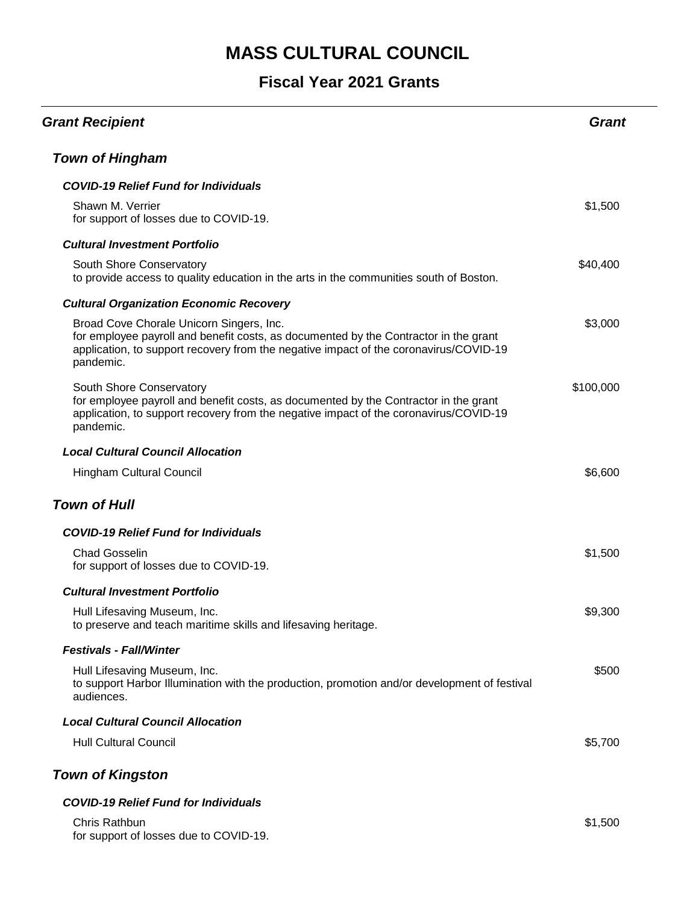#### **Fiscal Year 2021 Grants**

| <b>Grant Recipient</b>                                                                                                                                                                                                                 | Grant     |
|----------------------------------------------------------------------------------------------------------------------------------------------------------------------------------------------------------------------------------------|-----------|
| <b>Town of Hingham</b>                                                                                                                                                                                                                 |           |
| <b>COVID-19 Relief Fund for Individuals</b>                                                                                                                                                                                            |           |
| Shawn M. Verrier<br>for support of losses due to COVID-19.                                                                                                                                                                             | \$1,500   |
| <b>Cultural Investment Portfolio</b>                                                                                                                                                                                                   |           |
| South Shore Conservatory<br>to provide access to quality education in the arts in the communities south of Boston.                                                                                                                     | \$40,400  |
| <b>Cultural Organization Economic Recovery</b>                                                                                                                                                                                         |           |
| Broad Cove Chorale Unicorn Singers, Inc.<br>for employee payroll and benefit costs, as documented by the Contractor in the grant<br>application, to support recovery from the negative impact of the coronavirus/COVID-19<br>pandemic. | \$3,000   |
| South Shore Conservatory<br>for employee payroll and benefit costs, as documented by the Contractor in the grant<br>application, to support recovery from the negative impact of the coronavirus/COVID-19<br>pandemic.                 | \$100,000 |
| <b>Local Cultural Council Allocation</b>                                                                                                                                                                                               |           |
| <b>Hingham Cultural Council</b>                                                                                                                                                                                                        | \$6,600   |
| <b>Town of Hull</b>                                                                                                                                                                                                                    |           |
| <b>COVID-19 Relief Fund for Individuals</b>                                                                                                                                                                                            |           |
| <b>Chad Gosselin</b><br>for support of losses due to COVID-19.                                                                                                                                                                         | \$1,500   |
| <b>Cultural Investment Portfolio</b>                                                                                                                                                                                                   |           |
| Hull Lifesaving Museum, Inc.<br>to preserve and teach maritime skills and lifesaving heritage.                                                                                                                                         | \$9,300   |
| <b>Festivals - Fall/Winter</b>                                                                                                                                                                                                         |           |
| Hull Lifesaving Museum, Inc.<br>to support Harbor Illumination with the production, promotion and/or development of festival<br>audiences.                                                                                             | \$500     |
| <b>Local Cultural Council Allocation</b>                                                                                                                                                                                               |           |
| <b>Hull Cultural Council</b>                                                                                                                                                                                                           | \$5,700   |
| <b>Town of Kingston</b>                                                                                                                                                                                                                |           |
| <b>COVID-19 Relief Fund for Individuals</b>                                                                                                                                                                                            |           |
| Chris Rathbun                                                                                                                                                                                                                          | \$1,500   |

for support of losses due to COVID-19.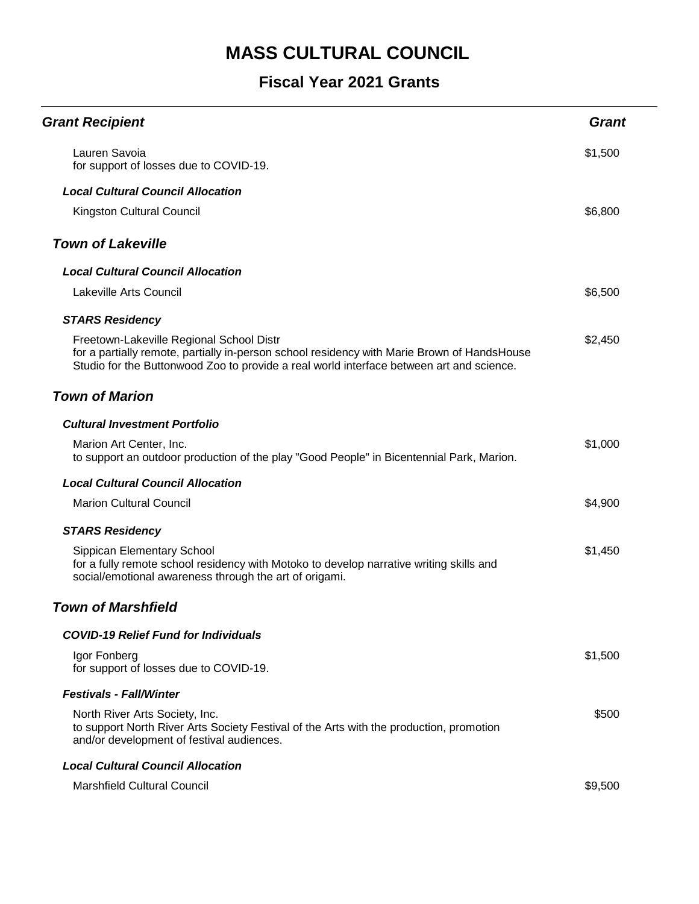| <b>Grant Recipient</b>                                                                                                                                                                                                              | <b>Grant</b> |
|-------------------------------------------------------------------------------------------------------------------------------------------------------------------------------------------------------------------------------------|--------------|
| Lauren Savoia<br>for support of losses due to COVID-19.                                                                                                                                                                             | \$1,500      |
| <b>Local Cultural Council Allocation</b>                                                                                                                                                                                            |              |
| Kingston Cultural Council                                                                                                                                                                                                           | \$6,800      |
| <b>Town of Lakeville</b>                                                                                                                                                                                                            |              |
| <b>Local Cultural Council Allocation</b>                                                                                                                                                                                            |              |
| <b>Lakeville Arts Council</b>                                                                                                                                                                                                       | \$6,500      |
| <b>STARS Residency</b>                                                                                                                                                                                                              |              |
| Freetown-Lakeville Regional School Distr<br>for a partially remote, partially in-person school residency with Marie Brown of HandsHouse<br>Studio for the Buttonwood Zoo to provide a real world interface between art and science. | \$2,450      |
| <b>Town of Marion</b>                                                                                                                                                                                                               |              |
| <b>Cultural Investment Portfolio</b>                                                                                                                                                                                                |              |
| Marion Art Center, Inc.<br>to support an outdoor production of the play "Good People" in Bicentennial Park, Marion.                                                                                                                 | \$1,000      |
| <b>Local Cultural Council Allocation</b>                                                                                                                                                                                            |              |
| <b>Marion Cultural Council</b>                                                                                                                                                                                                      | \$4,900      |
| <b>STARS Residency</b>                                                                                                                                                                                                              |              |
| Sippican Elementary School<br>for a fully remote school residency with Motoko to develop narrative writing skills and<br>social/emotional awareness through the art of origami.                                                     | \$1,450      |
| <b>Town of Marshfield</b>                                                                                                                                                                                                           |              |
| <b>COVID-19 Relief Fund for Individuals</b>                                                                                                                                                                                         |              |
| Igor Fonberg<br>for support of losses due to COVID-19.                                                                                                                                                                              | \$1,500      |
| <b>Festivals - Fall/Winter</b>                                                                                                                                                                                                      |              |
| North River Arts Society, Inc.<br>to support North River Arts Society Festival of the Arts with the production, promotion<br>and/or development of festival audiences.                                                              | \$500        |
| <b>Local Cultural Council Allocation</b>                                                                                                                                                                                            |              |
| <b>Marshfield Cultural Council</b>                                                                                                                                                                                                  | \$9,500      |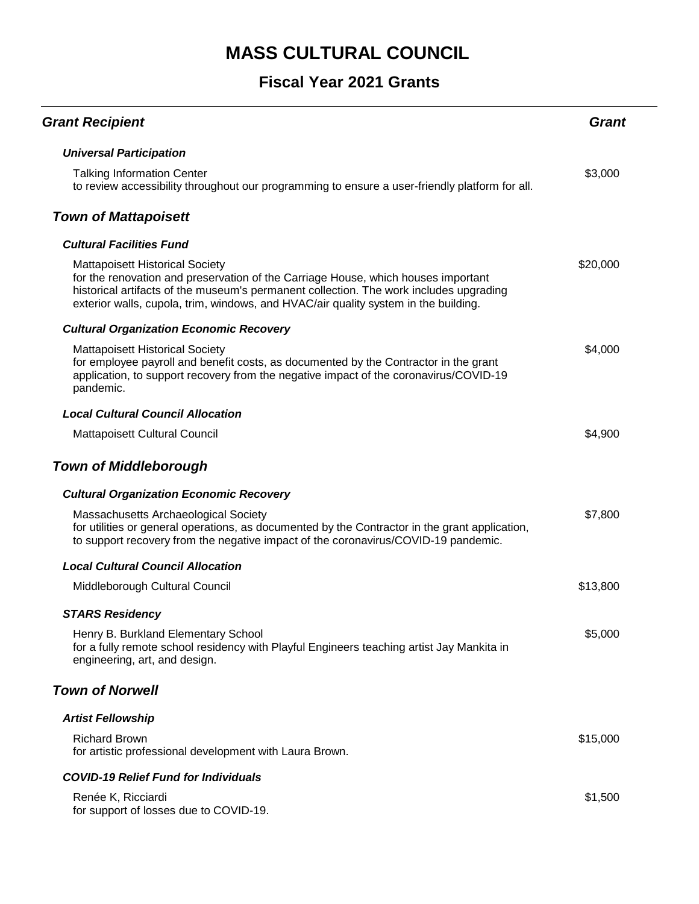#### **Fiscal Year 2021 Grants**

| <b>Grant Recipient</b>                                                                                                                                                                                                                                                                                       | Grant    |
|--------------------------------------------------------------------------------------------------------------------------------------------------------------------------------------------------------------------------------------------------------------------------------------------------------------|----------|
| <b>Universal Participation</b>                                                                                                                                                                                                                                                                               |          |
| <b>Talking Information Center</b><br>to review accessibility throughout our programming to ensure a user-friendly platform for all.                                                                                                                                                                          | \$3,000  |
| <b>Town of Mattapoisett</b>                                                                                                                                                                                                                                                                                  |          |
| <b>Cultural Facilities Fund</b>                                                                                                                                                                                                                                                                              |          |
| <b>Mattapoisett Historical Society</b><br>for the renovation and preservation of the Carriage House, which houses important<br>historical artifacts of the museum's permanent collection. The work includes upgrading<br>exterior walls, cupola, trim, windows, and HVAC/air quality system in the building. | \$20,000 |
| <b>Cultural Organization Economic Recovery</b>                                                                                                                                                                                                                                                               |          |
| <b>Mattapoisett Historical Society</b><br>for employee payroll and benefit costs, as documented by the Contractor in the grant<br>application, to support recovery from the negative impact of the coronavirus/COVID-19<br>pandemic.                                                                         | \$4,000  |
| <b>Local Cultural Council Allocation</b>                                                                                                                                                                                                                                                                     |          |
| Mattapoisett Cultural Council                                                                                                                                                                                                                                                                                | \$4,900  |
| <b>Town of Middleborough</b>                                                                                                                                                                                                                                                                                 |          |
| <b>Cultural Organization Economic Recovery</b>                                                                                                                                                                                                                                                               |          |
| Massachusetts Archaeological Society<br>for utilities or general operations, as documented by the Contractor in the grant application,<br>to support recovery from the negative impact of the coronavirus/COVID-19 pandemic.                                                                                 | \$7,800  |
| <b>Local Cultural Council Allocation</b>                                                                                                                                                                                                                                                                     |          |
| Middleborough Cultural Council                                                                                                                                                                                                                                                                               | \$13,800 |
| <b>STARS Residency</b>                                                                                                                                                                                                                                                                                       |          |
| Henry B. Burkland Elementary School<br>for a fully remote school residency with Playful Engineers teaching artist Jay Mankita in<br>engineering, art, and design.                                                                                                                                            | \$5,000  |
| <b>Town of Norwell</b>                                                                                                                                                                                                                                                                                       |          |
| <b>Artist Fellowship</b>                                                                                                                                                                                                                                                                                     |          |
| <b>Richard Brown</b><br>for artistic professional development with Laura Brown.                                                                                                                                                                                                                              | \$15,000 |
| <b>COVID-19 Relief Fund for Individuals</b>                                                                                                                                                                                                                                                                  |          |
| Renée K, Ricciardi                                                                                                                                                                                                                                                                                           | \$1,500  |

for support of losses due to COVID-19.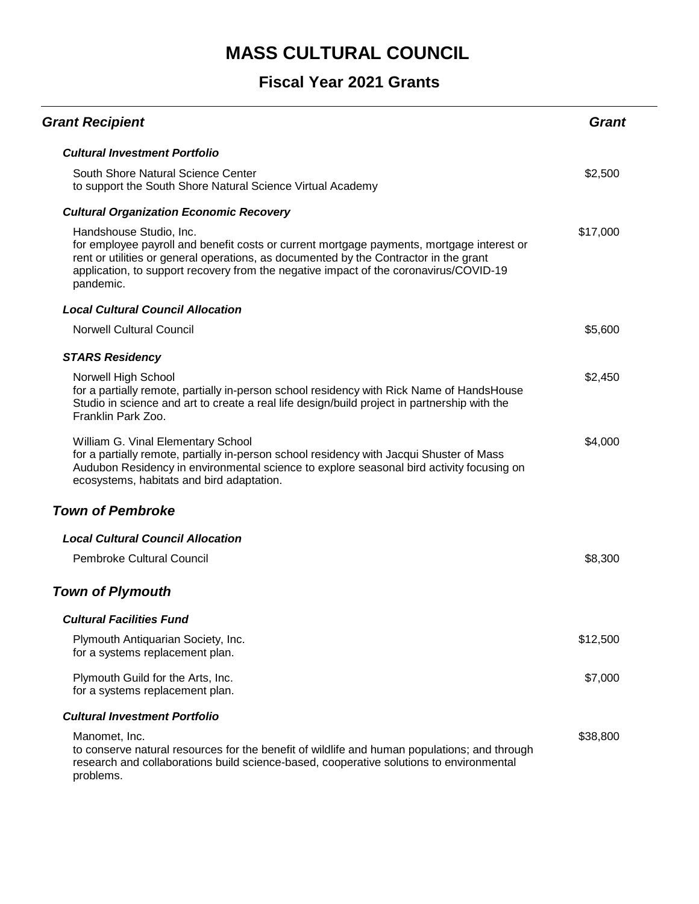| <b>Grant Recipient</b>                                                                                                                                                                                                                                                                                              | Grant    |
|---------------------------------------------------------------------------------------------------------------------------------------------------------------------------------------------------------------------------------------------------------------------------------------------------------------------|----------|
| <b>Cultural Investment Portfolio</b>                                                                                                                                                                                                                                                                                |          |
| South Shore Natural Science Center<br>to support the South Shore Natural Science Virtual Academy                                                                                                                                                                                                                    | \$2,500  |
| <b>Cultural Organization Economic Recovery</b>                                                                                                                                                                                                                                                                      |          |
| Handshouse Studio, Inc.<br>for employee payroll and benefit costs or current mortgage payments, mortgage interest or<br>rent or utilities or general operations, as documented by the Contractor in the grant<br>application, to support recovery from the negative impact of the coronavirus/COVID-19<br>pandemic. | \$17,000 |
| <b>Local Cultural Council Allocation</b>                                                                                                                                                                                                                                                                            |          |
| <b>Norwell Cultural Council</b>                                                                                                                                                                                                                                                                                     | \$5,600  |
| <b>STARS Residency</b>                                                                                                                                                                                                                                                                                              |          |
| Norwell High School<br>for a partially remote, partially in-person school residency with Rick Name of HandsHouse<br>Studio in science and art to create a real life design/build project in partnership with the<br>Franklin Park Zoo.                                                                              | \$2,450  |
| William G. Vinal Elementary School<br>for a partially remote, partially in-person school residency with Jacqui Shuster of Mass<br>Audubon Residency in environmental science to explore seasonal bird activity focusing on<br>ecosystems, habitats and bird adaptation.                                             | \$4,000  |
| <b>Town of Pembroke</b>                                                                                                                                                                                                                                                                                             |          |
| <b>Local Cultural Council Allocation</b>                                                                                                                                                                                                                                                                            |          |
| <b>Pembroke Cultural Council</b>                                                                                                                                                                                                                                                                                    | \$8,300  |
| <b>Town of Plymouth</b>                                                                                                                                                                                                                                                                                             |          |
| <b>Cultural Facilities Fund</b>                                                                                                                                                                                                                                                                                     |          |
| Plymouth Antiquarian Society, Inc.<br>for a systems replacement plan.                                                                                                                                                                                                                                               | \$12,500 |
| Plymouth Guild for the Arts, Inc.<br>for a systems replacement plan.                                                                                                                                                                                                                                                | \$7,000  |
| <b>Cultural Investment Portfolio</b>                                                                                                                                                                                                                                                                                |          |
| Manomet, Inc.<br>to conserve natural resources for the benefit of wildlife and human populations; and through<br>research and collaborations build science-based, cooperative solutions to environmental<br>problems.                                                                                               | \$38,800 |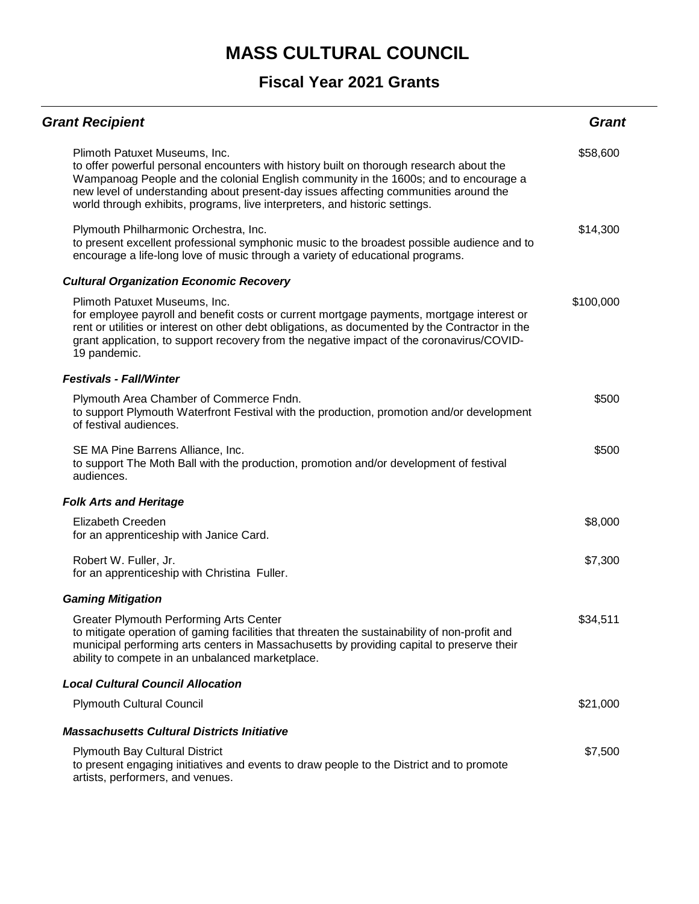| <b>Grant Recipient</b>                                                                                                                                                                                                                                                                                                                                                                  | <b>Grant</b> |
|-----------------------------------------------------------------------------------------------------------------------------------------------------------------------------------------------------------------------------------------------------------------------------------------------------------------------------------------------------------------------------------------|--------------|
| Plimoth Patuxet Museums, Inc.<br>to offer powerful personal encounters with history built on thorough research about the<br>Wampanoag People and the colonial English community in the 1600s; and to encourage a<br>new level of understanding about present-day issues affecting communities around the<br>world through exhibits, programs, live interpreters, and historic settings. | \$58,600     |
| Plymouth Philharmonic Orchestra, Inc.<br>to present excellent professional symphonic music to the broadest possible audience and to<br>encourage a life-long love of music through a variety of educational programs.                                                                                                                                                                   | \$14,300     |
| <b>Cultural Organization Economic Recovery</b>                                                                                                                                                                                                                                                                                                                                          |              |
| Plimoth Patuxet Museums, Inc.<br>for employee payroll and benefit costs or current mortgage payments, mortgage interest or<br>rent or utilities or interest on other debt obligations, as documented by the Contractor in the<br>grant application, to support recovery from the negative impact of the coronavirus/COVID-<br>19 pandemic.                                              | \$100,000    |
| <b>Festivals - Fall/Winter</b>                                                                                                                                                                                                                                                                                                                                                          |              |
| Plymouth Area Chamber of Commerce Fndn.<br>to support Plymouth Waterfront Festival with the production, promotion and/or development<br>of festival audiences.                                                                                                                                                                                                                          | \$500        |
| SE MA Pine Barrens Alliance, Inc.<br>to support The Moth Ball with the production, promotion and/or development of festival<br>audiences.                                                                                                                                                                                                                                               | \$500        |
| <b>Folk Arts and Heritage</b>                                                                                                                                                                                                                                                                                                                                                           |              |
| Elizabeth Creeden<br>for an apprenticeship with Janice Card.                                                                                                                                                                                                                                                                                                                            | \$8,000      |
| Robert W. Fuller, Jr.<br>for an apprenticeship with Christina Fuller.                                                                                                                                                                                                                                                                                                                   | \$7,300      |
| <b>Gaming Mitigation</b>                                                                                                                                                                                                                                                                                                                                                                |              |
| <b>Greater Plymouth Performing Arts Center</b><br>to mitigate operation of gaming facilities that threaten the sustainability of non-profit and<br>municipal performing arts centers in Massachusetts by providing capital to preserve their<br>ability to compete in an unbalanced marketplace.                                                                                        | \$34,511     |
| <b>Local Cultural Council Allocation</b>                                                                                                                                                                                                                                                                                                                                                |              |
| <b>Plymouth Cultural Council</b>                                                                                                                                                                                                                                                                                                                                                        | \$21,000     |
| <b>Massachusetts Cultural Districts Initiative</b>                                                                                                                                                                                                                                                                                                                                      |              |
| <b>Plymouth Bay Cultural District</b><br>to present engaging initiatives and events to draw people to the District and to promote<br>artists, performers, and venues.                                                                                                                                                                                                                   | \$7,500      |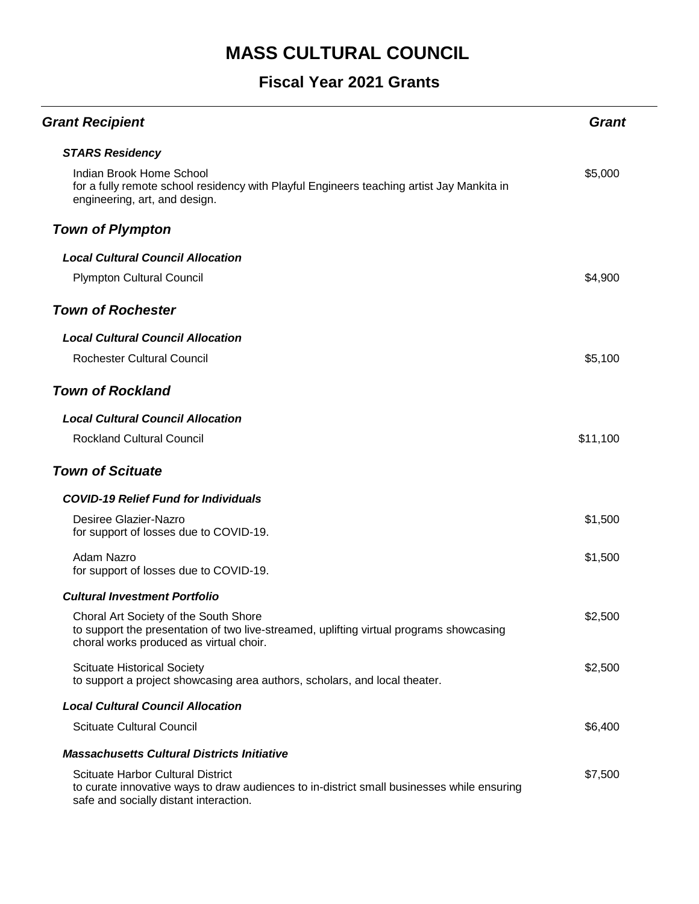| <b>Grant Recipient</b>                                                                                                                                                           | <b>Grant</b> |
|----------------------------------------------------------------------------------------------------------------------------------------------------------------------------------|--------------|
| <b>STARS Residency</b>                                                                                                                                                           |              |
| Indian Brook Home School<br>for a fully remote school residency with Playful Engineers teaching artist Jay Mankita in<br>engineering, art, and design.                           | \$5,000      |
| <b>Town of Plympton</b>                                                                                                                                                          |              |
| <b>Local Cultural Council Allocation</b>                                                                                                                                         |              |
| <b>Plympton Cultural Council</b>                                                                                                                                                 | \$4,900      |
| <b>Town of Rochester</b>                                                                                                                                                         |              |
| <b>Local Cultural Council Allocation</b>                                                                                                                                         |              |
| Rochester Cultural Council                                                                                                                                                       | \$5,100      |
| <b>Town of Rockland</b>                                                                                                                                                          |              |
| <b>Local Cultural Council Allocation</b>                                                                                                                                         |              |
| <b>Rockland Cultural Council</b>                                                                                                                                                 | \$11,100     |
| <b>Town of Scituate</b>                                                                                                                                                          |              |
| <b>COVID-19 Relief Fund for Individuals</b>                                                                                                                                      |              |
| Desiree Glazier-Nazro<br>for support of losses due to COVID-19.                                                                                                                  | \$1,500      |
| Adam Nazro<br>for support of losses due to COVID-19.                                                                                                                             | \$1,500      |
| <b>Cultural Investment Portfolio</b>                                                                                                                                             |              |
| Choral Art Society of the South Shore<br>to support the presentation of two live-streamed, uplifting virtual programs showcasing<br>choral works produced as virtual choir.      | \$2,500      |
| <b>Scituate Historical Society</b><br>to support a project showcasing area authors, scholars, and local theater.                                                                 | \$2,500      |
| <b>Local Cultural Council Allocation</b>                                                                                                                                         |              |
| <b>Scituate Cultural Council</b>                                                                                                                                                 | \$6,400      |
| <b>Massachusetts Cultural Districts Initiative</b>                                                                                                                               |              |
| <b>Scituate Harbor Cultural District</b><br>to curate innovative ways to draw audiences to in-district small businesses while ensuring<br>safe and socially distant interaction. | \$7,500      |